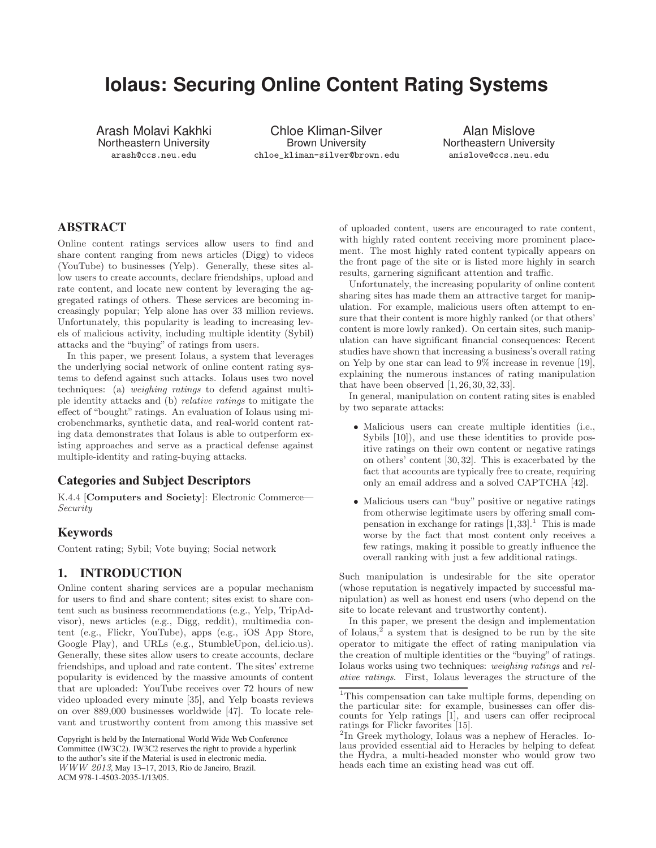# **Iolaus: Securing Online Content Rating Systems**

Arash Molavi Kakhki Northeastern University arash@ccs.neu.edu

Chloe Kliman-Silver Brown University chloe\_kliman-silver@brown.edu

Alan Mislove Northeastern University amislove@ccs.neu.edu

# ABSTRACT

Online content ratings services allow users to find and share content ranging from news articles (Digg) to videos (YouTube) to businesses (Yelp). Generally, these sites allow users to create accounts, declare friendships, upload and rate content, and locate new content by leveraging the aggregated ratings of others. These services are becoming increasingly popular; Yelp alone has over 33 million reviews. Unfortunately, this popularity is leading to increasing levels of malicious activity, including multiple identity (Sybil) attacks and the "buying" of ratings from users.

In this paper, we present Iolaus, a system that leverages the underlying social network of online content rating systems to defend against such attacks. Iolaus uses two novel techniques: (a) weighing ratings to defend against multiple identity attacks and (b) relative ratings to mitigate the effect of "bought" ratings. An evaluation of Iolaus using microbenchmarks, synthetic data, and real-world content rating data demonstrates that Iolaus is able to outperform existing approaches and serve as a practical defense against multiple-identity and rating-buying attacks.

# Categories and Subject Descriptors

K.4.4 [Computers and Society]: Electronic Commerce— Security

# Keywords

Content rating; Sybil; Vote buying; Social network

# 1. INTRODUCTION

Online content sharing services are a popular mechanism for users to find and share content; sites exist to share content such as business recommendations (e.g., Yelp, TripAdvisor), news articles (e.g., Digg, reddit), multimedia content (e.g., Flickr, YouTube), apps (e.g., iOS App Store, Google Play), and URLs (e.g., StumbleUpon, del.icio.us). Generally, these sites allow users to create accounts, declare friendships, and upload and rate content. The sites' extreme popularity is evidenced by the massive amounts of content that are uploaded: YouTube receives over 72 hours of new video uploaded every minute [35], and Yelp boasts reviews on over 889,000 businesses worldwide [47]. To locate relevant and trustworthy content from among this massive set

Copyright is held by the International World Wide Web Conference Committee (IW3C2). IW3C2 reserves the right to provide a hyperlink to the author's site if the Material is used in electronic media. WWW 2013, May 13–17, 2013, Rio de Janeiro, Brazil. ACM 978-1-4503-2035-1/13/05.

of uploaded content, users are encouraged to rate content, with highly rated content receiving more prominent placement. The most highly rated content typically appears on the front page of the site or is listed more highly in search results, garnering significant attention and traffic.

Unfortunately, the increasing popularity of online content sharing sites has made them an attractive target for manipulation. For example, malicious users often attempt to ensure that their content is more highly ranked (or that others' content is more lowly ranked). On certain sites, such manipulation can have significant financial consequences: Recent studies have shown that increasing a business's overall rating on Yelp by one star can lead to 9% increase in revenue [19], explaining the numerous instances of rating manipulation that have been observed  $[1, 26, 30, 32, 33]$ .

In general, manipulation on content rating sites is enabled by two separate attacks:

- Malicious users can create multiple identities (i.e., Sybils [10]), and use these identities to provide positive ratings on their own content or negative ratings on others' content [30, 32]. This is exacerbated by the fact that accounts are typically free to create, requiring only an email address and a solved CAPTCHA [42].
- Malicious users can "buy" positive or negative ratings from otherwise legitimate users by offering small compensation in exchange for ratings  $[1,33]$ .<sup>1</sup> This is made worse by the fact that most content only receives a few ratings, making it possible to greatly influence the overall ranking with just a few additional ratings.

Such manipulation is undesirable for the site operator (whose reputation is negatively impacted by successful manipulation) as well as honest end users (who depend on the site to locate relevant and trustworthy content).

In this paper, we present the design and implementation of Iolaus,<sup>2</sup> a system that is designed to be run by the site operator to mitigate the effect of rating manipulation via the creation of multiple identities or the "buying" of ratings. Iolaus works using two techniques: weighing ratings and relative ratings. First, Iolaus leverages the structure of the

<sup>&</sup>lt;sup>1</sup>This compensation can take multiple forms, depending on the particular site: for example, businesses can offer discounts for Yelp ratings [1], and users can offer reciprocal ratings for Flickr favorites [15].

<sup>2</sup>In Greek mythology, Iolaus was a nephew of Heracles. Iolaus provided essential aid to Heracles by helping to defeat the Hydra, a multi-headed monster who would grow two heads each time an existing head was cut off.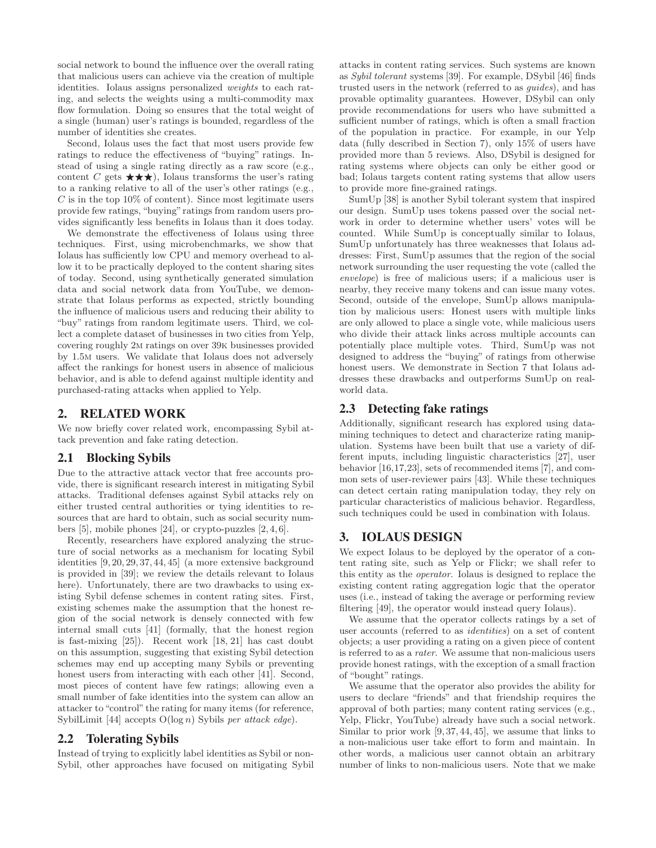social network to bound the influence over the overall rating that malicious users can achieve via the creation of multiple identities. Iolaus assigns personalized weights to each rating, and selects the weights using a multi-commodity max flow formulation. Doing so ensures that the total weight of a single (human) user's ratings is bounded, regardless of the number of identities she creates.

Second, Iolaus uses the fact that most users provide few ratings to reduce the effectiveness of "buying" ratings. Instead of using a single rating directly as a raw score (e.g., content C gets  $\star \star \star$ ), Iolaus transforms the user's rating to a ranking relative to all of the user's other ratings (e.g.,  $C$  is in the top 10% of content). Since most legitimate users provide few ratings, "buying" ratings from random users provides significantly less benefits in Iolaus than it does today.

We demonstrate the effectiveness of Iolaus using three techniques. First, using microbenchmarks, we show that Iolaus has sufficiently low CPU and memory overhead to allow it to be practically deployed to the content sharing sites of today. Second, using synthetically generated simulation data and social network data from YouTube, we demonstrate that Iolaus performs as expected, strictly bounding the influence of malicious users and reducing their ability to "buy" ratings from random legitimate users. Third, we collect a complete dataset of businesses in two cities from Yelp, covering roughly 2m ratings on over 39k businesses provided by 1.5m users. We validate that Iolaus does not adversely affect the rankings for honest users in absence of malicious behavior, and is able to defend against multiple identity and purchased-rating attacks when applied to Yelp.

# 2. RELATED WORK

We now briefly cover related work, encompassing Sybil attack prevention and fake rating detection.

## 2.1 Blocking Sybils

Due to the attractive attack vector that free accounts provide, there is significant research interest in mitigating Sybil attacks. Traditional defenses against Sybil attacks rely on either trusted central authorities or tying identities to resources that are hard to obtain, such as social security numbers [5], mobile phones [24], or crypto-puzzles [2, 4, 6].

Recently, researchers have explored analyzing the structure of social networks as a mechanism for locating Sybil identities [9, 20, 29, 37, 44, 45] (a more extensive background is provided in [39]; we review the details relevant to Iolaus here). Unfortunately, there are two drawbacks to using existing Sybil defense schemes in content rating sites. First, existing schemes make the assumption that the honest region of the social network is densely connected with few internal small cuts [41] (formally, that the honest region is fast-mixing [25]). Recent work [18, 21] has cast doubt on this assumption, suggesting that existing Sybil detection schemes may end up accepting many Sybils or preventing honest users from interacting with each other [41]. Second, most pieces of content have few ratings; allowing even a small number of fake identities into the system can allow an attacker to "control" the rating for many items (for reference, SybilLimit [44] accepts  $O(\log n)$  Sybils per attack edge).

## 2.2 Tolerating Sybils

Instead of trying to explicitly label identities as Sybil or non-Sybil, other approaches have focused on mitigating Sybil attacks in content rating services. Such systems are known as Sybil tolerant systems [39]. For example, DSybil [46] finds trusted users in the network (referred to as guides), and has provable optimality guarantees. However, DSybil can only provide recommendations for users who have submitted a sufficient number of ratings, which is often a small fraction of the population in practice. For example, in our Yelp data (fully described in Section 7), only 15% of users have provided more than 5 reviews. Also, DSybil is designed for rating systems where objects can only be either good or bad; Iolaus targets content rating systems that allow users to provide more fine-grained ratings.

SumUp [38] is another Sybil tolerant system that inspired our design. SumUp uses tokens passed over the social network in order to determine whether users' votes will be counted. While SumUp is conceptually similar to Iolaus, SumUp unfortunately has three weaknesses that Iolaus addresses: First, SumUp assumes that the region of the social network surrounding the user requesting the vote (called the envelope) is free of malicious users; if a malicious user is nearby, they receive many tokens and can issue many votes. Second, outside of the envelope, SumUp allows manipulation by malicious users: Honest users with multiple links are only allowed to place a single vote, while malicious users who divide their attack links across multiple accounts can potentially place multiple votes. Third, SumUp was not designed to address the "buying" of ratings from otherwise honest users. We demonstrate in Section 7 that Iolaus addresses these drawbacks and outperforms SumUp on realworld data.

# 2.3 Detecting fake ratings

Additionally, significant research has explored using datamining techniques to detect and characterize rating manipulation. Systems have been built that use a variety of different inputs, including linguistic characteristics [27], user behavior [16,17,23], sets of recommended items [7], and common sets of user-reviewer pairs [43]. While these techniques can detect certain rating manipulation today, they rely on particular characteristics of malicious behavior. Regardless, such techniques could be used in combination with Iolaus.

# 3. IOLAUS DESIGN

We expect Iolaus to be deployed by the operator of a content rating site, such as Yelp or Flickr; we shall refer to this entity as the operator. Iolaus is designed to replace the existing content rating aggregation logic that the operator uses (i.e., instead of taking the average or performing review filtering [49], the operator would instead query Iolaus).

We assume that the operator collects ratings by a set of user accounts (referred to as identities) on a set of content objects; a user providing a rating on a given piece of content is referred to as a rater. We assume that non-malicious users provide honest ratings, with the exception of a small fraction of "bought" ratings.

We assume that the operator also provides the ability for users to declare "friends" and that friendship requires the approval of both parties; many content rating services (e.g., Yelp, Flickr, YouTube) already have such a social network. Similar to prior work [9, 37, 44, 45], we assume that links to a non-malicious user take effort to form and maintain. In other words, a malicious user cannot obtain an arbitrary number of links to non-malicious users. Note that we make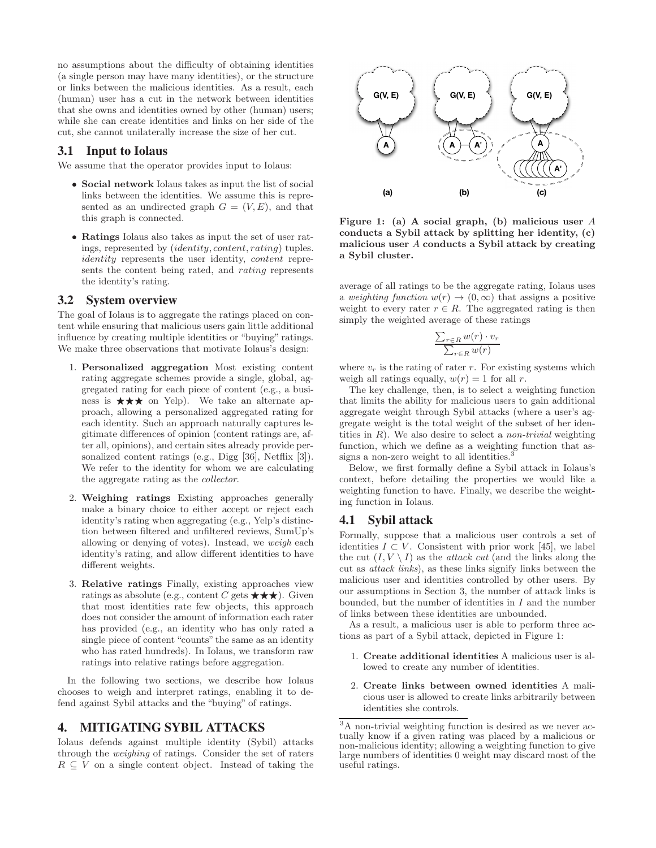no assumptions about the difficulty of obtaining identities (a single person may have many identities), or the structure or links between the malicious identities. As a result, each (human) user has a cut in the network between identities that she owns and identities owned by other (human) users; while she can create identities and links on her side of the cut, she cannot unilaterally increase the size of her cut.

## 3.1 Input to Iolaus

We assume that the operator provides input to Iolaus:

- Social network Iolaus takes as input the list of social links between the identities. We assume this is represented as an undirected graph  $G = (V, E)$ , and that this graph is connected.
- Ratings Iolaus also takes as input the set of user ratings, represented by (identity, content, rating) tuples. identity represents the user identity, content represents the content being rated, and rating represents the identity's rating.

# 3.2 System overview

The goal of Iolaus is to aggregate the ratings placed on content while ensuring that malicious users gain little additional influence by creating multiple identities or "buying" ratings. We make three observations that motivate Iolaus's design:

- 1. Personalized aggregation Most existing content rating aggregate schemes provide a single, global, aggregated rating for each piece of content (e.g., a business is  $\star \star \star$  on Yelp). We take an alternate approach, allowing a personalized aggregated rating for each identity. Such an approach naturally captures legitimate differences of opinion (content ratings are, after all, opinions), and certain sites already provide personalized content ratings (e.g., Digg [36], Netflix [3]). We refer to the identity for whom we are calculating the aggregate rating as the collector.
- 2. Weighing ratings Existing approaches generally make a binary choice to either accept or reject each identity's rating when aggregating (e.g., Yelp's distinction between filtered and unfiltered reviews, SumUp's allowing or denying of votes). Instead, we weigh each identity's rating, and allow different identities to have different weights.
- 3. Relative ratings Finally, existing approaches view ratings as absolute (e.g., content C gets  $\star \star \star$ ). Given that most identities rate few objects, this approach does not consider the amount of information each rater has provided (e.g., an identity who has only rated a single piece of content "counts" the same as an identity who has rated hundreds). In Iolaus, we transform raw ratings into relative ratings before aggregation.

In the following two sections, we describe how Iolaus chooses to weigh and interpret ratings, enabling it to defend against Sybil attacks and the "buying" of ratings.

# 4. MITIGATING SYBIL ATTACKS

Iolaus defends against multiple identity (Sybil) attacks through the weighing of ratings. Consider the set of raters  $R \subseteq V$  on a single content object. Instead of taking the



Figure 1: (a) A social graph, (b) malicious user A conducts a Sybil attack by splitting her identity, (c) malicious user A conducts a Sybil attack by creating a Sybil cluster.

average of all ratings to be the aggregate rating, Iolaus uses a weighting function  $w(r) \rightarrow (0, \infty)$  that assigns a positive weight to every rater  $r \in R$ . The aggregated rating is then simply the weighted average of these ratings

$$
\frac{\sum_{r \in R} w(r) \cdot v_r}{\sum_{r \in R} w(r)}
$$

where  $v_r$  is the rating of rater r. For existing systems which weigh all ratings equally,  $w(r) = 1$  for all r.

The key challenge, then, is to select a weighting function that limits the ability for malicious users to gain additional aggregate weight through Sybil attacks (where a user's aggregate weight is the total weight of the subset of her identities in  $R$ ). We also desire to select a *non-trivial* weighting function, which we define as a weighting function that assigns a non-zero weight to all identities.<sup>3</sup>

Below, we first formally define a Sybil attack in Iolaus's context, before detailing the properties we would like a weighting function to have. Finally, we describe the weighting function in Iolaus.

## 4.1 Sybil attack

Formally, suppose that a malicious user controls a set of identities  $I \subset V$ . Consistent with prior work [45], we label the cut  $(I, V \setminus I)$  as the *attack cut* (and the links along the cut as attack links), as these links signify links between the malicious user and identities controlled by other users. By our assumptions in Section 3, the number of attack links is bounded, but the number of identities in  $I$  and the number of links between these identities are unbounded.

As a result, a malicious user is able to perform three actions as part of a Sybil attack, depicted in Figure 1:

- 1. Create additional identities A malicious user is allowed to create any number of identities.
- 2. Create links between owned identities A malicious user is allowed to create links arbitrarily between identities she controls.

<sup>3</sup>A non-trivial weighting function is desired as we never actually know if a given rating was placed by a malicious or non-malicious identity; allowing a weighting function to give large numbers of identities 0 weight may discard most of the useful ratings.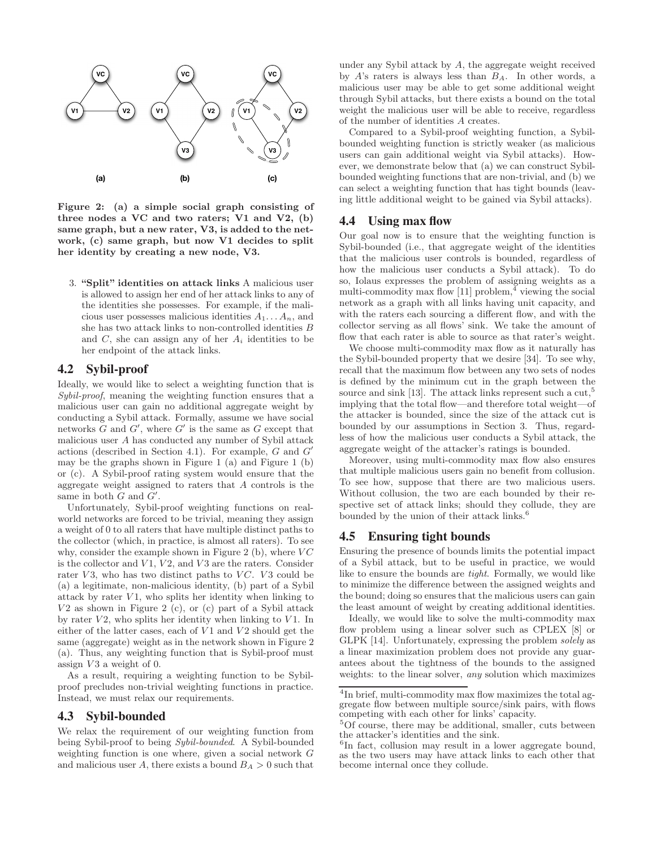

Figure 2: (a) a simple social graph consisting of three nodes a VC and two raters; V1 and V2, (b) same graph, but a new rater, V3, is added to the network, (c) same graph, but now V1 decides to split her identity by creating a new node, V3.

3. "Split" identities on attack links A malicious user is allowed to assign her end of her attack links to any of the identities she possesses. For example, if the malicious user possesses malicious identities  $A_1 \dots A_n$ , and she has two attack links to non-controlled identities B and  $C$ , she can assign any of her  $A_i$  identities to be her endpoint of the attack links.

## 4.2 Sybil-proof

Ideally, we would like to select a weighting function that is Sybil-proof, meaning the weighting function ensures that a malicious user can gain no additional aggregate weight by conducting a Sybil attack. Formally, assume we have social networks  $G$  and  $G'$ , where  $G'$  is the same as  $G$  except that malicious user A has conducted any number of Sybil attack actions (described in Section 4.1). For example, G and G" may be the graphs shown in Figure 1 (a) and Figure 1 (b) or (c). A Sybil-proof rating system would ensure that the aggregate weight assigned to raters that A controls is the same in both  $G$  and  $G'$ .

Unfortunately, Sybil-proof weighting functions on realworld networks are forced to be trivial, meaning they assign a weight of 0 to all raters that have multiple distinct paths to the collector (which, in practice, is almost all raters). To see why, consider the example shown in Figure 2 (b), where  $VC$ is the collector and  $V1$ ,  $V2$ , and  $V3$  are the raters. Consider rater  $V3$ , who has two distinct paths to  $VC$ .  $V3$  could be (a) a legitimate, non-malicious identity, (b) part of a Sybil attack by rater  $V1$ , who splits her identity when linking to  $V2$  as shown in Figure 2 (c), or (c) part of a Sybil attack by rater  $V2$ , who splits her identity when linking to  $V1$ . In either of the latter cases, each of  $V1$  and  $V2$  should get the same (aggregate) weight as in the network shown in Figure 2 (a). Thus, any weighting function that is Sybil-proof must assign  $V3$  a weight of 0.

As a result, requiring a weighting function to be Sybilproof precludes non-trivial weighting functions in practice. Instead, we must relax our requirements.

## 4.3 Sybil-bounded

We relax the requirement of our weighting function from being Sybil-proof to being Sybil-bounded. A Sybil-bounded weighting function is one where, given a social network G and malicious user A, there exists a bound  $B_A > 0$  such that

under any Sybil attack by A, the aggregate weight received by A's raters is always less than  $B_A$ . In other words, a malicious user may be able to get some additional weight through Sybil attacks, but there exists a bound on the total weight the malicious user will be able to receive, regardless of the number of identities A creates.

Compared to a Sybil-proof weighting function, a Sybilbounded weighting function is strictly weaker (as malicious users can gain additional weight via Sybil attacks). However, we demonstrate below that (a) we can construct Sybilbounded weighting functions that are non-trivial, and (b) we can select a weighting function that has tight bounds (leaving little additional weight to be gained via Sybil attacks).

## 4.4 Using max flow

Our goal now is to ensure that the weighting function is Sybil-bounded (i.e., that aggregate weight of the identities that the malicious user controls is bounded, regardless of how the malicious user conducts a Sybil attack). To do so, Iolaus expresses the problem of assigning weights as a multi-commodity max flow  $[11]$  problem,<sup>4</sup> viewing the social network as a graph with all links having unit capacity, and with the raters each sourcing a different flow, and with the collector serving as all flows' sink. We take the amount of flow that each rater is able to source as that rater's weight.

We choose multi-commodity max flow as it naturally has the Sybil-bounded property that we desire [34]. To see why, recall that the maximum flow between any two sets of nodes is defined by the minimum cut in the graph between the source and sink [13]. The attack links represent such a cut,<sup>5</sup> implying that the total flow—and therefore total weight—of the attacker is bounded, since the size of the attack cut is bounded by our assumptions in Section 3. Thus, regardless of how the malicious user conducts a Sybil attack, the aggregate weight of the attacker's ratings is bounded.

Moreover, using multi-commodity max flow also ensures that multiple malicious users gain no benefit from collusion. To see how, suppose that there are two malicious users. Without collusion, the two are each bounded by their respective set of attack links; should they collude, they are bounded by the union of their attack links.<sup>6</sup>

## 4.5 Ensuring tight bounds

Ensuring the presence of bounds limits the potential impact of a Sybil attack, but to be useful in practice, we would like to ensure the bounds are tight. Formally, we would like to minimize the difference between the assigned weights and the bound; doing so ensures that the malicious users can gain the least amount of weight by creating additional identities.

Ideally, we would like to solve the multi-commodity max flow problem using a linear solver such as CPLEX [8] or GLPK [14]. Unfortunately, expressing the problem solely as a linear maximization problem does not provide any guarantees about the tightness of the bounds to the assigned weights: to the linear solver, *any* solution which maximizes

<sup>&</sup>lt;sup>4</sup>In brief, multi-commodity max flow maximizes the total aggregate flow between multiple source/sink pairs, with flows competing with each other for links' capacity.

<sup>&</sup>lt;sup>5</sup>Of course, there may be additional, smaller, cuts between the attacker's identities and the sink.

<sup>&</sup>lt;sup>6</sup>In fact, collusion may result in a lower aggregate bound, as the two users may have attack links to each other that become internal once they collude.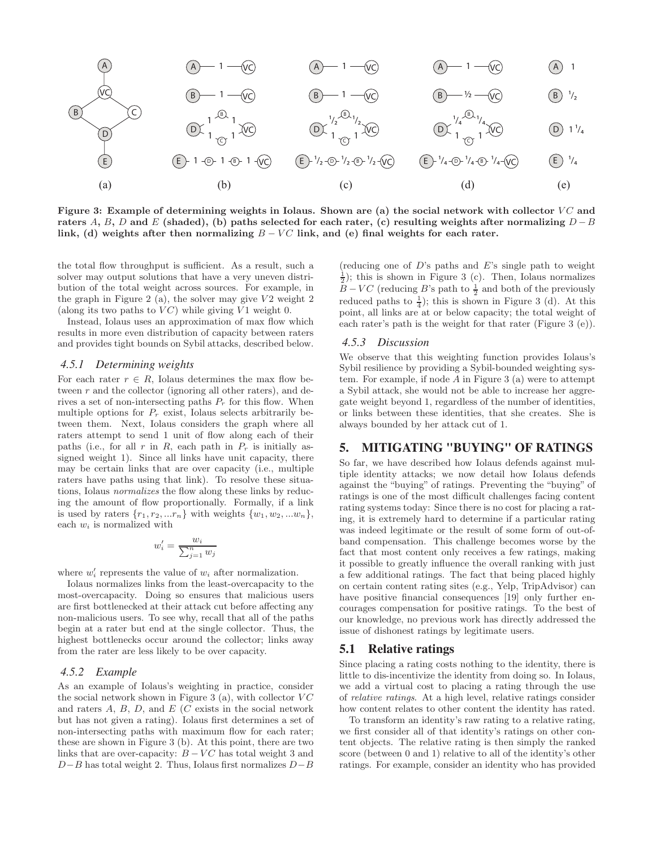

Figure 3: Example of determining weights in Iolaus. Shown are (a) the social network with collector  $VC$  and raters A, B, D and E (shaded), (b) paths selected for each rater, (c) resulting weights after normalizing  $D - B$ link, (d) weights after then normalizing  $B - VC$  link, and (e) final weights for each rater.

the total flow throughput is sufficient. As a result, such a solver may output solutions that have a very uneven distribution of the total weight across sources. For example, in the graph in Figure 2 (a), the solver may give  $V2$  weight 2 (along its two paths to  $VC$ ) while giving  $V1$  weight 0.

Instead, Iolaus uses an approximation of max flow which results in more even distribution of capacity between raters and provides tight bounds on Sybil attacks, described below.

## *4.5.1 Determining weights*

For each rater  $r \in R$ , Iolaus determines the max flow between  $r$  and the collector (ignoring all other raters), and derives a set of non-intersecting paths  $P_r$  for this flow. When multiple options for  $P_r$  exist, Iolaus selects arbitrarily between them. Next, Iolaus considers the graph where all raters attempt to send 1 unit of flow along each of their paths (i.e., for all r in R, each path in  $P_r$  is initially assigned weight 1). Since all links have unit capacity, there may be certain links that are over capacity (i.e., multiple raters have paths using that link). To resolve these situations, Iolaus normalizes the flow along these links by reducing the amount of flow proportionally. Formally, if a link is used by raters  $\{r_1, r_2, ... r_n\}$  with weights  $\{w_1, w_2, ... w_n\}$ , each  $w_i$  is normalized with

$$
w_i' = \frac{w_i}{\sum_{j=1}^n w_j}
$$

where  $w'_i$  represents the value of  $w_i$  after normalization.

Iolaus normalizes links from the least-overcapacity to the most-overcapacity. Doing so ensures that malicious users are first bottlenecked at their attack cut before affecting any non-malicious users. To see why, recall that all of the paths begin at a rater but end at the single collector. Thus, the highest bottlenecks occur around the collector; links away from the rater are less likely to be over capacity.

## *4.5.2 Example*

As an example of Iolaus's weighting in practice, consider the social network shown in Figure 3 (a), with collector  $VC$ and raters  $A, B, D, \text{ and } E$  (C exists in the social network but has not given a rating). Iolaus first determines a set of non-intersecting paths with maximum flow for each rater; these are shown in Figure 3 (b). At this point, there are two links that are over-capacity:  $B - VC$  has total weight 3 and  $D-B$  has total weight 2. Thus, Iolaus first normalizes  $D-B$ 

(reducing one of  $D$ 's paths and  $E$ 's single path to weight  $(\frac{1}{2})$ ; this is shown in Figure 3 (c). Then, Iolaus normalizes  $B - VC$  (reducing B's path to  $\frac{1}{2}$  and both of the previously reduced paths to  $\frac{1}{4}$ ); this is shown in Figure 3 (d). At this point, all links are at or below capacity; the total weight of each rater's path is the weight for that rater (Figure 3 (e)).

#### *4.5.3 Discussion*

We observe that this weighting function provides Iolaus's Sybil resilience by providing a Sybil-bounded weighting system. For example, if node  $A$  in Figure 3 (a) were to attempt a Sybil attack, she would not be able to increase her aggregate weight beyond 1, regardless of the number of identities, or links between these identities, that she creates. She is always bounded by her attack cut of 1.

# 5. MITIGATING "BUYING" OF RATINGS

So far, we have described how Iolaus defends against multiple identity attacks; we now detail how Iolaus defends against the "buying" of ratings. Preventing the "buying" of ratings is one of the most difficult challenges facing content rating systems today: Since there is no cost for placing a rating, it is extremely hard to determine if a particular rating was indeed legitimate or the result of some form of out-ofband compensation. This challenge becomes worse by the fact that most content only receives a few ratings, making it possible to greatly influence the overall ranking with just a few additional ratings. The fact that being placed highly on certain content rating sites (e.g., Yelp, TripAdvisor) can have positive financial consequences [19] only further encourages compensation for positive ratings. To the best of our knowledge, no previous work has directly addressed the issue of dishonest ratings by legitimate users.

## 5.1 Relative ratings

Since placing a rating costs nothing to the identity, there is little to dis-incentivize the identity from doing so. In Iolaus, we add a virtual cost to placing a rating through the use of relative ratings. At a high level, relative ratings consider how content relates to other content the identity has rated.

To transform an identity's raw rating to a relative rating, we first consider all of that identity's ratings on other content objects. The relative rating is then simply the ranked score (between 0 and 1) relative to all of the identity's other ratings. For example, consider an identity who has provided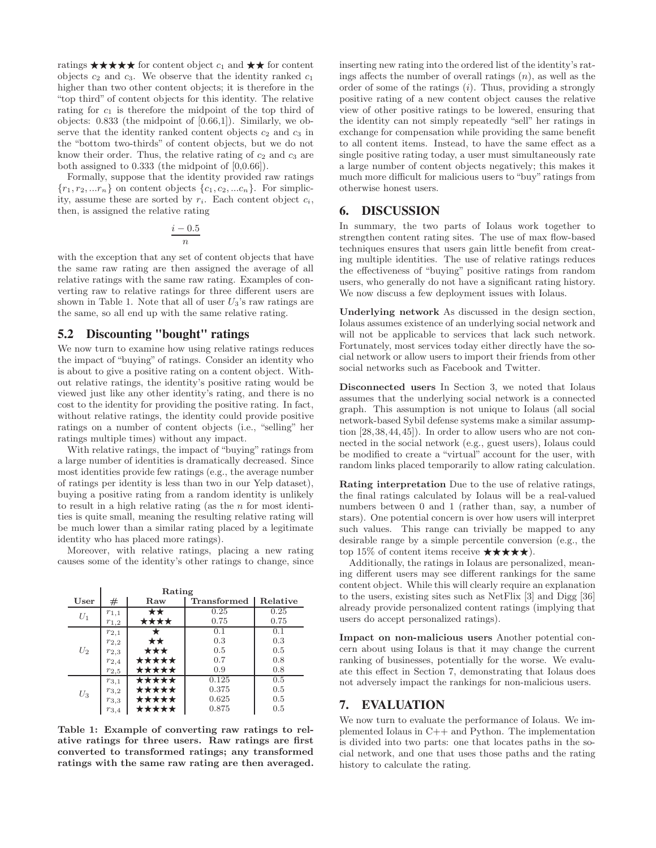ratings  $\star \star \star \star \star$  for content object  $c_1$  and  $\star \star$  for content objects  $c_2$  and  $c_3$ . We observe that the identity ranked  $c_1$ higher than two other content objects; it is therefore in the "top third" of content objects for this identity. The relative rating for  $c_1$  is therefore the midpoint of the top third of objects: 0.833 (the midpoint of [0.66,1]). Similarly, we observe that the identity ranked content objects  $c_2$  and  $c_3$  in the "bottom two-thirds" of content objects, but we do not know their order. Thus, the relative rating of  $c_2$  and  $c_3$  are both assigned to 0.333 (the midpoint of [0,0.66]).

Formally, suppose that the identity provided raw ratings  ${r_1, r_2, ... r_n}$  on content objects  ${c_1, c_2, ... c_n}$ . For simplicity, assume these are sorted by  $r_i$ . Each content object  $c_i$ , then, is assigned the relative rating

$$
\frac{i-0.5}{n}
$$

with the exception that any set of content objects that have the same raw rating are then assigned the average of all relative ratings with the same raw rating. Examples of converting raw to relative ratings for three different users are shown in Table 1. Note that all of user  $U_3$ 's raw ratings are the same, so all end up with the same relative rating.

# 5.2 Discounting "bought" ratings

We now turn to examine how using relative ratings reduces the impact of "buying" of ratings. Consider an identity who is about to give a positive rating on a content object. Without relative ratings, the identity's positive rating would be viewed just like any other identity's rating, and there is no cost to the identity for providing the positive rating. In fact, without relative ratings, the identity could provide positive ratings on a number of content objects (i.e., "selling" her ratings multiple times) without any impact.

With relative ratings, the impact of "buying" ratings from a large number of identities is dramatically decreased. Since most identities provide few ratings (e.g., the average number of ratings per identity is less than two in our Yelp dataset), buying a positive rating from a random identity is unlikely to result in a high relative rating (as the  $n$  for most identities is quite small, meaning the resulting relative rating will be much lower than a similar rating placed by a legitimate identity who has placed more ratings).

Moreover, with relative ratings, placing a new rating causes some of the identity's other ratings to change, since

|       | Rating    |       |                    |          |  |  |  |
|-------|-----------|-------|--------------------|----------|--|--|--|
| User  | #         | Raw   | <b>Transformed</b> | Relative |  |  |  |
| $U_1$ | $r_{1,1}$ | ★★    | 0.25               | 0.25     |  |  |  |
|       | $r_{1,2}$ | ****  | 0.75               | 0.75     |  |  |  |
| $U_2$ | $r_{2,1}$ |       | 0.1                | 0.1      |  |  |  |
|       | $r_{2,2}$ | ★★    | 0.3                | 0.3      |  |  |  |
|       | $r_{2,3}$ | ★★★   | 0.5                | 0.5      |  |  |  |
|       | $r_{2,4}$ | ***** | 0.7                | 0.8      |  |  |  |
|       | $r_{2,5}$ | ***** | 0.9                | 0.8      |  |  |  |
| $U_3$ | $r_{3,1}$ | ***** | 0.125              | 0.5      |  |  |  |
|       | $r_{3,2}$ | ***** | 0.375              | 0.5      |  |  |  |
|       | $r_{3,3}$ | ***** | 0.625              | 0.5      |  |  |  |
|       | $r_{3,4}$ | ***** | 0.875              | 0.5      |  |  |  |

Table 1: Example of converting raw ratings to relative ratings for three users. Raw ratings are first converted to transformed ratings; any transformed ratings with the same raw rating are then averaged.

inserting new rating into the ordered list of the identity's ratings affects the number of overall ratings  $(n)$ , as well as the order of some of the ratings  $(i)$ . Thus, providing a strongly positive rating of a new content object causes the relative view of other positive ratings to be lowered, ensuring that the identity can not simply repeatedly "sell" her ratings in exchange for compensation while providing the same benefit to all content items. Instead, to have the same effect as a single positive rating today, a user must simultaneously rate a large number of content objects negatively; this makes it much more difficult for malicious users to "buy" ratings from otherwise honest users.

# 6. DISCUSSION

In summary, the two parts of Iolaus work together to strengthen content rating sites. The use of max flow-based techniques ensures that users gain little benefit from creating multiple identities. The use of relative ratings reduces the effectiveness of "buying" positive ratings from random users, who generally do not have a significant rating history. We now discuss a few deployment issues with Iolaus.

Underlying network As discussed in the design section, Iolaus assumes existence of an underlying social network and will not be applicable to services that lack such network. Fortunately, most services today either directly have the social network or allow users to import their friends from other social networks such as Facebook and Twitter.

Disconnected users In Section 3, we noted that Iolaus assumes that the underlying social network is a connected graph. This assumption is not unique to Iolaus (all social network-based Sybil defense systems make a similar assumption [28,38,44,45]). In order to allow users who are not connected in the social network (e.g., guest users), Iolaus could be modified to create a "virtual" account for the user, with random links placed temporarily to allow rating calculation.

Rating interpretation Due to the use of relative ratings, the final ratings calculated by Iolaus will be a real-valued numbers between 0 and 1 (rather than, say, a number of stars). One potential concern is over how users will interpret such values. This range can trivially be mapped to any desirable range by a simple percentile conversion (e.g., the top 15% of content items receive  $\star \star \star \star \star$ ).

Additionally, the ratings in Iolaus are personalized, meaning different users may see different rankings for the same content object. While this will clearly require an explanation to the users, existing sites such as NetFlix [3] and Digg [36] already provide personalized content ratings (implying that users do accept personalized ratings).

Impact on non-malicious users Another potential concern about using Iolaus is that it may change the current ranking of businesses, potentially for the worse. We evaluate this effect in Section 7, demonstrating that Iolaus does not adversely impact the rankings for non-malicious users.

# 7. EVALUATION

We now turn to evaluate the performance of Iolaus. We implemented Iolaus in C++ and Python. The implementation is divided into two parts: one that locates paths in the social network, and one that uses those paths and the rating history to calculate the rating.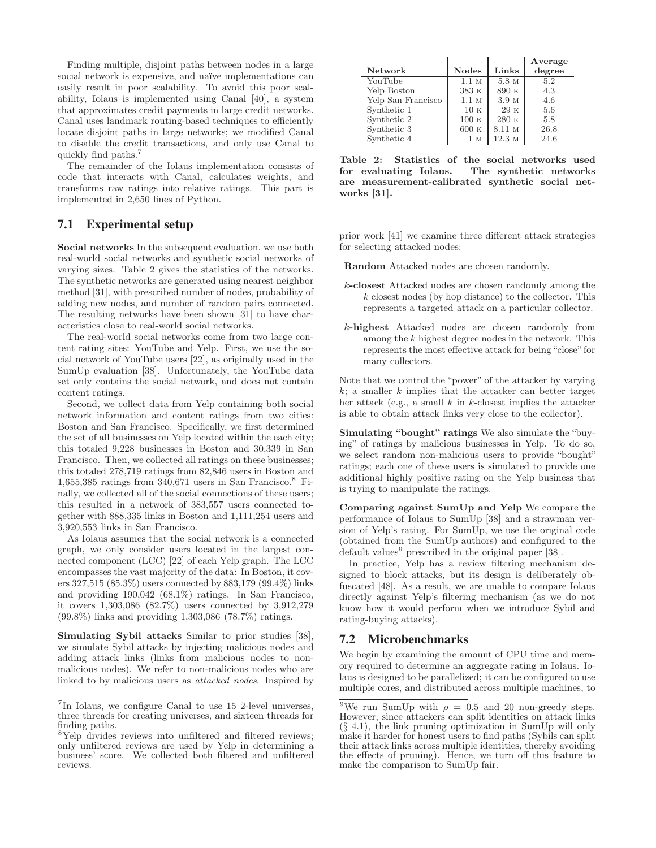Finding multiple, disjoint paths between nodes in a large social network is expensive, and naïve implementations can easily result in poor scalability. To avoid this poor scalability, Iolaus is implemented using Canal [40], a system that approximates credit payments in large credit networks. Canal uses landmark routing-based techniques to efficiently locate disjoint paths in large networks; we modified Canal to disable the credit transactions, and only use Canal to quickly find paths.<sup>7</sup>

The remainder of the Iolaus implementation consists of code that interacts with Canal, calculates weights, and transforms raw ratings into relative ratings. This part is implemented in 2,650 lines of Python.

# 7.1 Experimental setup

Social networks In the subsequent evaluation, we use both real-world social networks and synthetic social networks of varying sizes. Table 2 gives the statistics of the networks. The synthetic networks are generated using nearest neighbor method [31], with prescribed number of nodes, probability of adding new nodes, and number of random pairs connected. The resulting networks have been shown [31] to have characteristics close to real-world social networks.

The real-world social networks come from two large content rating sites: YouTube and Yelp. First, we use the social network of YouTube users [22], as originally used in the SumUp evaluation [38]. Unfortunately, the YouTube data set only contains the social network, and does not contain content ratings.

Second, we collect data from Yelp containing both social network information and content ratings from two cities: Boston and San Francisco. Specifically, we first determined the set of all businesses on Yelp located within the each city; this totaled 9,228 businesses in Boston and 30,339 in San Francisco. Then, we collected all ratings on these businesses; this totaled 278,719 ratings from 82,846 users in Boston and 1,655,385 ratings from 340,671 users in San Francisco.<sup>8</sup> Finally, we collected all of the social connections of these users; this resulted in a network of 383,557 users connected together with 888,335 links in Boston and 1,111,254 users and 3,920,553 links in San Francisco.

As Iolaus assumes that the social network is a connected graph, we only consider users located in the largest connected component (LCC) [22] of each Yelp graph. The LCC encompasses the vast majority of the data: In Boston, it covers 327,515 (85.3%) users connected by 883,179 (99.4%) links and providing 190,042 (68.1%) ratings. In San Francisco, it covers 1,303,086 (82.7%) users connected by 3,912,279 (99.8%) links and providing 1,303,086 (78.7%) ratings.

Simulating Sybil attacks Similar to prior studies [38], we simulate Sybil attacks by injecting malicious nodes and adding attack links (links from malicious nodes to nonmalicious nodes). We refer to non-malicious nodes who are linked to by malicious users as attacked nodes. Inspired by

| Network            | <b>Nodes</b>     | Links  | Average<br>degree |
|--------------------|------------------|--------|-------------------|
| YouTube            | 1.1 <sub>M</sub> | 5.8 M  | 5.2               |
| Yelp Boston        | 383 K            | 890 K  | 4.3               |
| Yelp San Francisco | 1.1 <sub>M</sub> | 3.9 M  | 4.6               |
| Synthetic 1        | 10K              | 29K    | 5.6               |
| Synthetic 2        | 100K             | 280 K  | 5.8               |
| Synthetic 3        | 600K             | 8.11 M | 26.8              |
| Synthetic 4        | 1 M              | 12.3 M | 24.6              |

Table 2: Statistics of the social networks used for evaluating Iolaus. The synthetic networks are measurement-calibrated synthetic social networks [31].

prior work [41] we examine three different attack strategies for selecting attacked nodes:

Random Attacked nodes are chosen randomly.

- k-closest Attacked nodes are chosen randomly among the k closest nodes (by hop distance) to the collector. This represents a targeted attack on a particular collector.
- k-highest Attacked nodes are chosen randomly from among the k highest degree nodes in the network. This represents the most effective attack for being "close" for many collectors.

Note that we control the "power" of the attacker by varying  $k$ ; a smaller  $k$  implies that the attacker can better target her attack (e.g., a small  $k$  in  $k$ -closest implies the attacker is able to obtain attack links very close to the collector).

Simulating "bought" ratings We also simulate the "buying" of ratings by malicious businesses in Yelp. To do so, we select random non-malicious users to provide "bought" ratings; each one of these users is simulated to provide one additional highly positive rating on the Yelp business that is trying to manipulate the ratings.

Comparing against SumUp and Yelp We compare the performance of Iolaus to SumUp [38] and a strawman version of Yelp's rating. For SumUp, we use the original code (obtained from the SumUp authors) and configured to the default values<sup>9</sup> prescribed in the original paper  $[38]$ .

In practice, Yelp has a review filtering mechanism designed to block attacks, but its design is deliberately obfuscated [48]. As a result, we are unable to compare Iolaus directly against Yelp's filtering mechanism (as we do not know how it would perform when we introduce Sybil and rating-buying attacks).

# 7.2 Microbenchmarks

We begin by examining the amount of CPU time and memory required to determine an aggregate rating in Iolaus. Iolaus is designed to be parallelized; it can be configured to use multiple cores, and distributed across multiple machines, to

<sup>7</sup>In Iolaus, we configure Canal to use 15 2-level universes, three threads for creating universes, and sixteen threads for finding paths.

<sup>&</sup>lt;sup>8</sup>Yelp divides reviews into unfiltered and filtered reviews; only unfiltered reviews are used by Yelp in determining a business' score. We collected both filtered and unfiltered reviews.

<sup>&</sup>lt;sup>9</sup>We run SumUp with  $\rho = 0.5$  and 20 non-greedy steps. However, since attackers can split identities on attack links  $(\S$  4.1), the link pruning optimization in SumUp will only make it harder for honest users to find paths (Sybils can split their attack links across multiple identities, thereby avoiding the effects of pruning). Hence, we turn off this feature to make the comparison to SumUp fair.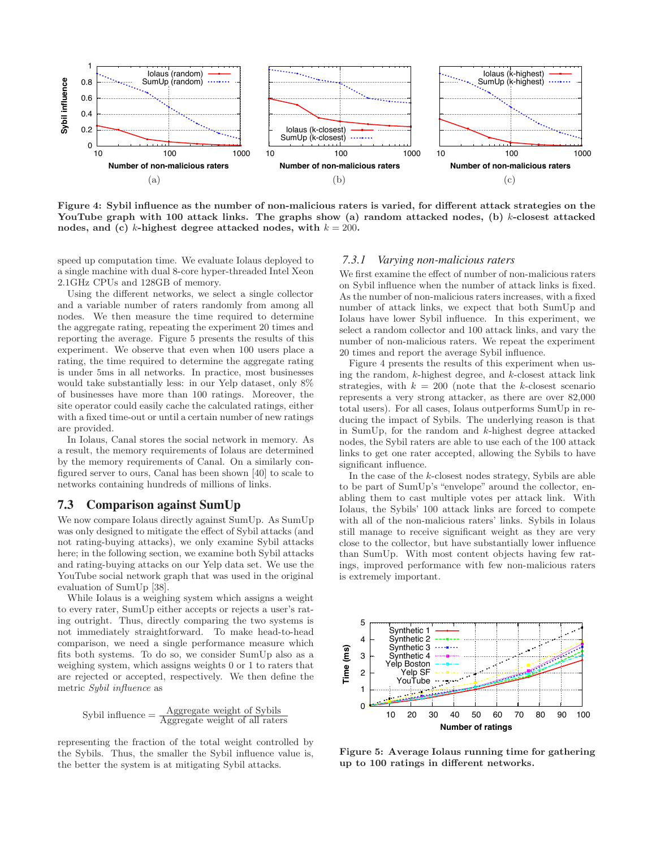

Figure 4: Sybil influence as the number of non-malicious raters is varied, for different attack strategies on the YouTube graph with 100 attack links. The graphs show (a) random attacked nodes, (b)  $k$ -closest attacked nodes, and (c) k-highest degree attacked nodes, with  $k = 200$ .

speed up computation time. We evaluate Iolaus deployed to a single machine with dual 8-core hyper-threaded Intel Xeon 2.1GHz CPUs and 128GB of memory.

Using the different networks, we select a single collector and a variable number of raters randomly from among all nodes. We then measure the time required to determine the aggregate rating, repeating the experiment 20 times and reporting the average. Figure 5 presents the results of this experiment. We observe that even when 100 users place a rating, the time required to determine the aggregate rating is under 5ms in all networks. In practice, most businesses would take substantially less: in our Yelp dataset, only 8% of businesses have more than 100 ratings. Moreover, the site operator could easily cache the calculated ratings, either with a fixed time-out or until a certain number of new ratings are provided.

In Iolaus, Canal stores the social network in memory. As a result, the memory requirements of Iolaus are determined by the memory requirements of Canal. On a similarly configured server to ours, Canal has been shown [40] to scale to networks containing hundreds of millions of links.

## 7.3 Comparison against SumUp

We now compare Iolaus directly against SumUp. As SumUp was only designed to mitigate the effect of Sybil attacks (and not rating-buying attacks), we only examine Sybil attacks here; in the following section, we examine both Sybil attacks and rating-buying attacks on our Yelp data set. We use the YouTube social network graph that was used in the original evaluation of SumUp [38].

While Iolaus is a weighing system which assigns a weight to every rater, SumUp either accepts or rejects a user's rating outright. Thus, directly comparing the two systems is not immediately straightforward. To make head-to-head comparison, we need a single performance measure which fits both systems. To do so, we consider SumUp also as a weighing system, which assigns weights 0 or 1 to raters that are rejected or accepted, respectively. We then define the metric Sybil influence as

$$
Sybil influence = \frac{Aggregate weight of Sybils}{Aggregate weight of all raters}
$$

representing the fraction of the total weight controlled by the Sybils. Thus, the smaller the Sybil influence value is, the better the system is at mitigating Sybil attacks.

# *7.3.1 Varying non-malicious raters*

We first examine the effect of number of non-malicious raters on Sybil influence when the number of attack links is fixed. As the number of non-malicious raters increases, with a fixed number of attack links, we expect that both SumUp and Iolaus have lower Sybil influence. In this experiment, we select a random collector and 100 attack links, and vary the number of non-malicious raters. We repeat the experiment 20 times and report the average Sybil influence.

Figure 4 presents the results of this experiment when using the random,  $k$ -highest degree, and  $k$ -closest attack link strategies, with  $k = 200$  (note that the k-closest scenario represents a very strong attacker, as there are over 82,000 total users). For all cases, Iolaus outperforms SumUp in reducing the impact of Sybils. The underlying reason is that in SumUp, for the random and k-highest degree attacked nodes, the Sybil raters are able to use each of the 100 attack links to get one rater accepted, allowing the Sybils to have significant influence.

In the case of the  $k$ -closest nodes strategy, Sybils are able to be part of SumUp's "envelope" around the collector, enabling them to cast multiple votes per attack link. With Iolaus, the Sybils' 100 attack links are forced to compete with all of the non-malicious raters' links. Sybils in Iolaus still manage to receive significant weight as they are very close to the collector, but have substantially lower influence than SumUp. With most content objects having few ratings, improved performance with few non-malicious raters is extremely important.



Figure 5: Average Iolaus running time for gathering up to 100 ratings in different networks.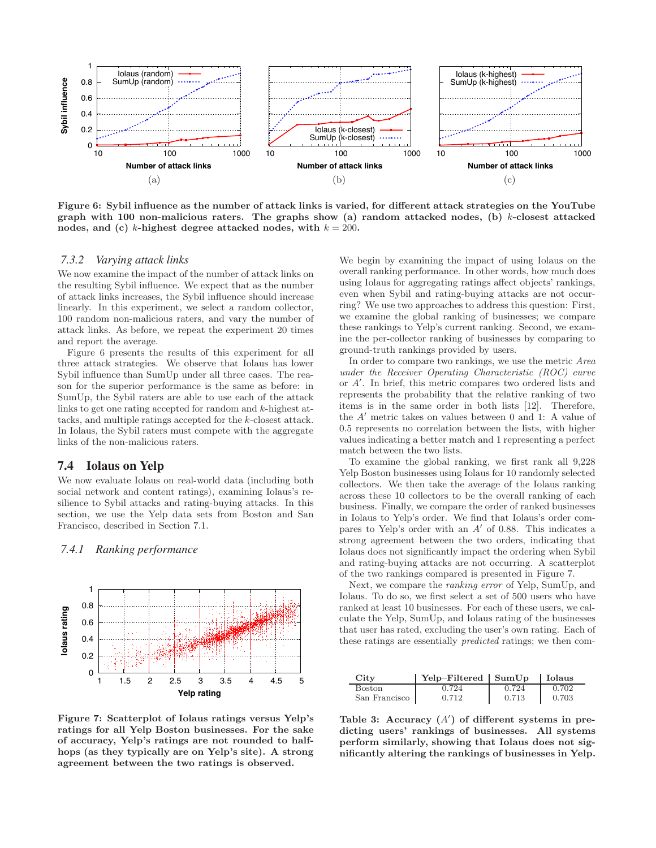

Figure 6: Sybil influence as the number of attack links is varied, for different attack strategies on the YouTube graph with 100 non-malicious raters. The graphs show (a) random attacked nodes, (b)  $k$ -closest attacked nodes, and (c) k-highest degree attacked nodes, with  $k = 200$ .

#### *7.3.2 Varying attack links*

We now examine the impact of the number of attack links on the resulting Sybil influence. We expect that as the number of attack links increases, the Sybil influence should increase linearly. In this experiment, we select a random collector, 100 random non-malicious raters, and vary the number of attack links. As before, we repeat the experiment 20 times and report the average.

Figure 6 presents the results of this experiment for all three attack strategies. We observe that Iolaus has lower Sybil influence than SumUp under all three cases. The reason for the superior performance is the same as before: in SumUp, the Sybil raters are able to use each of the attack links to get one rating accepted for random and k-highest attacks, and multiple ratings accepted for the k-closest attack. In Iolaus, the Sybil raters must compete with the aggregate links of the non-malicious raters.

#### 7.4 Iolaus on Yelp

We now evaluate Iolaus on real-world data (including both social network and content ratings), examining Iolaus's resilience to Sybil attacks and rating-buying attacks. In this section, we use the Yelp data sets from Boston and San Francisco, described in Section 7.1.

 1 0.8 lolaus rating **Iolaus rating** 0.6 0.4 0.2 0 1 1.5 2 2.5 3 3.5 4 4.5 5 **Yelp rating**

## *7.4.1 Ranking performance*

Figure 7: Scatterplot of Iolaus ratings versus Yelp's ratings for all Yelp Boston businesses. For the sake of accuracy, Yelp's ratings are not rounded to halfhops (as they typically are on Yelp's site). A strong agreement between the two ratings is observed.

We begin by examining the impact of using Iolaus on the overall ranking performance. In other words, how much does using Iolaus for aggregating ratings affect objects' rankings, even when Sybil and rating-buying attacks are not occurring? We use two approaches to address this question: First, we examine the global ranking of businesses; we compare these rankings to Yelp's current ranking. Second, we examine the per-collector ranking of businesses by comparing to ground-truth rankings provided by users.

In order to compare two rankings, we use the metric Area under the Receiver Operating Characteristic (ROC) curve or A" . In brief, this metric compares two ordered lists and represents the probability that the relative ranking of two items is in the same order in both lists [12]. Therefore, the A" metric takes on values between 0 and 1: A value of 0.5 represents no correlation between the lists, with higher values indicating a better match and 1 representing a perfect match between the two lists.

To examine the global ranking, we first rank all 9,228 Yelp Boston businesses using Iolaus for 10 randomly selected collectors. We then take the average of the Iolaus ranking across these 10 collectors to be the overall ranking of each business. Finally, we compare the order of ranked businesses in Iolaus to Yelp's order. We find that Iolaus's order compares to Yelp's order with an  $A'$  of 0.88. This indicates a strong agreement between the two orders, indicating that Iolaus does not significantly impact the ordering when Sybil and rating-buying attacks are not occurring. A scatterplot of the two rankings compared is presented in Figure 7.

Next, we compare the ranking error of Yelp, SumUp, and Iolaus. To do so, we first select a set of 500 users who have ranked at least 10 businesses. For each of these users, we calculate the Yelp, SumUp, and Iolaus rating of the businesses that user has rated, excluding the user's own rating. Each of these ratings are essentially predicted ratings; we then com-

| Citv          | Yelp-Filtered SumUp |       | Iolaus |
|---------------|---------------------|-------|--------|
| <b>Boston</b> | 0.724               | 0.724 | 0.702  |
| San Francisco | 0.712               | 0.713 | 0.703  |

Table 3: Accuracy  $(A')$  of different systems in predicting users' rankings of businesses. All systems perform similarly, showing that Iolaus does not significantly altering the rankings of businesses in Yelp.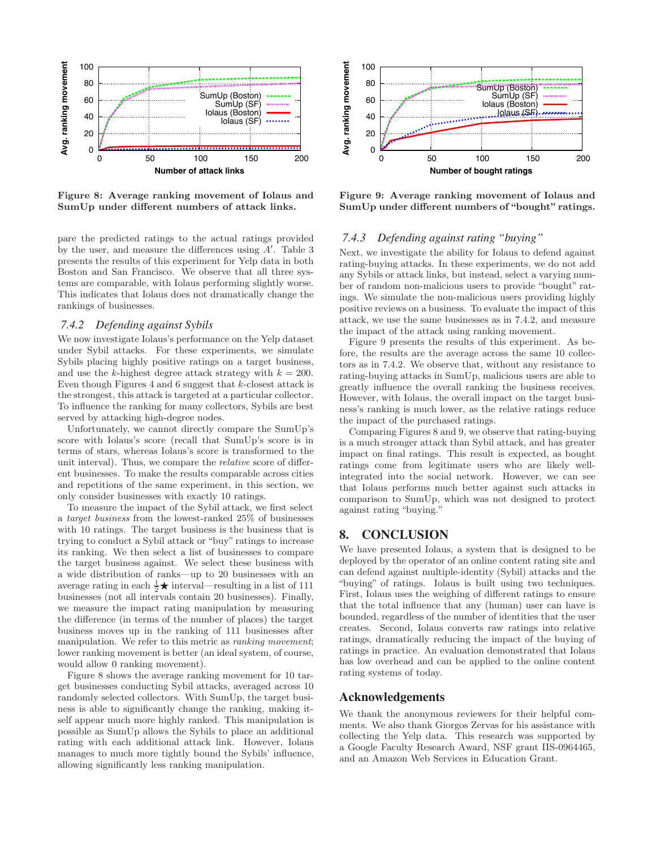

Figure 8: Average ranking movement of Iolaus and SumUp under different numbers of attack links.

pare the predicted ratings to the actual ratings provided by the user, and measure the differences using  $A'$ . Table 3 presents the results of this experiment for Yelp data in both Boston and San Francisco. We observe that all three systems are comparable, with Iolaus performing slightly worse. This indicates that Iolaus does not dramatically change the rankings of businesses.

## *7.4.2 Defending against Sybils*

We now investigate Iolaus's performance on the Yelp dataset under Sybil attacks. For these experiments, we simulate Sybils placing highly positive ratings on a target business, and use the k-highest degree attack strategy with  $k = 200$ . Even though Figures  $4$  and  $6$  suggest that  $k$ -closest attack is the strongest, this attack is targeted at a particular collector. To influence the ranking for many collectors, Sybils are best served by attacking high-degree nodes.

Unfortunately, we cannot directly compare the SumUp's score with Iolaus's score (recall that SumUp's score is in terms of stars, whereas Iolaus's score is transformed to the unit interval). Thus, we compare the relative score of different businesses. To make the results comparable across cities and repetitions of the same experiment, in this section, we only consider businesses with exactly 10 ratings.

To measure the impact of the Sybil attack, we first select a target business from the lowest-ranked 25% of businesses with 10 ratings. The target business is the business that is trying to conduct a Sybil attack or "buy" ratings to increase its ranking. We then select a list of businesses to compare the target business against. We select these business with a wide distribution of ranks—up to 20 businesses with an average rating in each  $\frac{1}{2} \star$  interval—resulting in a list of 111 businesses (not all intervals contain 20 businesses). Finally, we measure the impact rating manipulation by measuring the difference (in terms of the number of places) the target business moves up in the ranking of 111 businesses after manipulation. We refer to this metric as *ranking movement*; lower ranking movement is better (an ideal system, of course, would allow 0 ranking movement).

Figure 8 shows the average ranking movement for 10 target businesses conducting Sybil attacks, averaged across 10 randomly selected collectors. With SumUp, the target business is able to significantly change the ranking, making itself appear much more highly ranked. This manipulation is possible as SumUp allows the Sybils to place an additional rating with each additional attack link. However, Iolaus manages to much more tightly bound the Sybils' influence, allowing significantly less ranking manipulation.



Figure 9: Average ranking movement of Iolaus and SumUp under different numbers of "bought" ratings.

## *7.4.3 Defending against rating "buying"*

Next, we investigate the ability for Iolaus to defend against rating-buying attacks. In these experiments, we do not add any Sybils or attack links, but instead, select a varying number of random non-malicious users to provide "bought" ratings. We simulate the non-malicious users providing highly positive reviews on a business. To evaluate the impact of this attack, we use the same businesses as in 7.4.2, and measure the impact of the attack using ranking movement.

Figure 9 presents the results of this experiment. As before, the results are the average across the same 10 collectors as in 7.4.2. We observe that, without any resistance to rating-buying attacks in SumUp, malicious users are able to greatly influence the overall ranking the business receives. However, with Iolaus, the overall impact on the target business's ranking is much lower, as the relative ratings reduce the impact of the purchased ratings.

Comparing Figures 8 and 9, we observe that rating-buying is a much stronger attack than Sybil attack, and has greater impact on final ratings. This result is expected, as bought ratings come from legitimate users who are likely wellintegrated into the social network. However, we can see that Iolaus performs much better against such attacks in comparison to SumUp, which was not designed to protect against rating "buying."

# 8. CONCLUSION

We have presented Iolaus, a system that is designed to be deployed by the operator of an online content rating site and can defend against multiple-identity (Sybil) attacks and the "buying" of ratings. Iolaus is built using two techniques. First, Iolaus uses the weighing of different ratings to ensure that the total influence that any (human) user can have is bounded, regardless of the number of identities that the user creates. Second, Iolaus converts raw ratings into relative ratings, dramatically reducing the impact of the buying of ratings in practice. An evaluation demonstrated that Iolaus has low overhead and can be applied to the online content rating systems of today.

## Acknowledgements

We thank the anonymous reviewers for their helpful comments. We also thank Giorgos Zervas for his assistance with collecting the Yelp data. This research was supported by a Google Faculty Research Award, NSF grant IIS-0964465, and an Amazon Web Services in Education Grant.